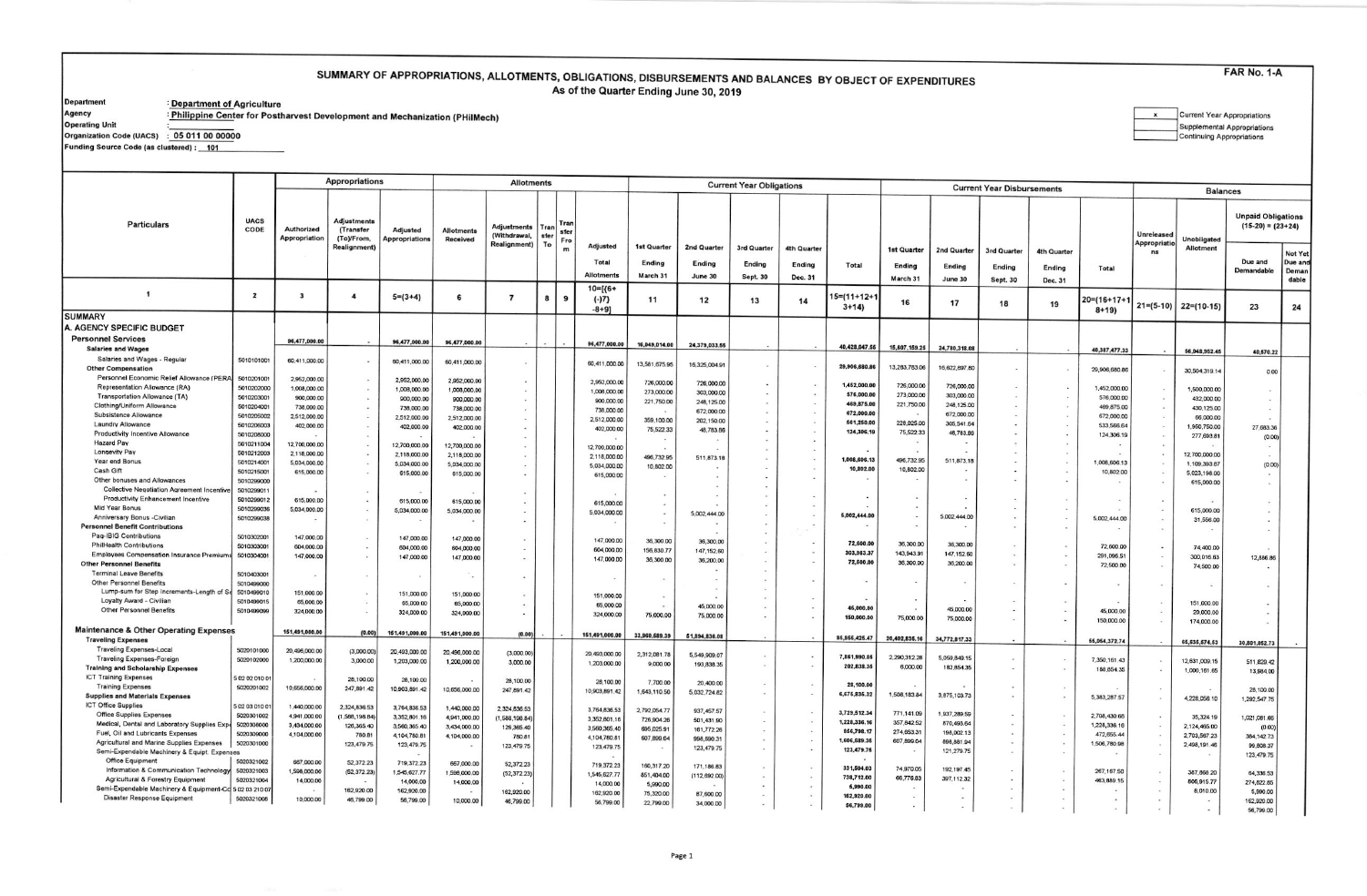## SUMMARY OF APPROPRIATIONS, ALLOTMENTS, OBLIGATIONS, DISBURSEMENTS AND BALANCES BY OBJECT OF EXPENDITURES As of the Quarter Ending June 30, 2019

**Department** 

┯

: <u>Department of Ag</u>riculture<br>: <u>Philippine Cent</u>er for Postharvest Development and Mechanization (PHilMech)

Agency **Operating Unit** 

| Current Year Appropriations |
|-----------------------------|
| Supplemental Appropriations |
| Continuing Appropriations   |

Organization Code (UACS) : 05 011 00 00000

Funding Source Code (as clustered) : \_ 101

|                                                                                                |                          |                                    | <b>Appropriations</b>                  |                              |                               | <b>Allotments</b>                                  |                           |                                            | <b>Current Year Obligations</b> |                          |                          |                       |                                       |                         |                                   |                       |                       |                          |                            |                           |                                                  |                    |  |  |  |
|------------------------------------------------------------------------------------------------|--------------------------|------------------------------------|----------------------------------------|------------------------------|-------------------------------|----------------------------------------------------|---------------------------|--------------------------------------------|---------------------------------|--------------------------|--------------------------|-----------------------|---------------------------------------|-------------------------|-----------------------------------|-----------------------|-----------------------|--------------------------|----------------------------|---------------------------|--------------------------------------------------|--------------------|--|--|--|
|                                                                                                |                          |                                    |                                        |                              |                               |                                                    |                           |                                            |                                 |                          |                          |                       |                                       |                         | <b>Current Year Disbursements</b> |                       |                       |                          |                            | <b>Balances</b>           |                                                  |                    |  |  |  |
| Particulars                                                                                    | <b>UACS</b><br>CODE      | Authorized<br><b>Appropriation</b> | Adjustments<br>(Transfer<br>(To)/From, | Adjusted<br>Appropriations   | <b>Allotments</b><br>Received | Adjustments<br>(Withdrawal,<br><b>Realignment)</b> | Tran<br>sfer<br>Fro<br>To |                                            |                                 |                          |                          |                       |                                       |                         |                                   |                       |                       |                          | Unreleased<br>Appropriatio | Unobligated               | <b>Unpaid Obligations</b><br>$(15-20) = (23+24)$ |                    |  |  |  |
|                                                                                                |                          |                                    | Realignment)                           |                              |                               |                                                    |                           | Adjusted<br>Total                          | 1st Quarter<br>Ending           | 2nd Quarter<br>Ending    | 3rd Quarter<br>Ending    | 4th Quarter<br>Ending | Total                                 | 1st Quarter<br>Ending   | 2nd Quarter<br>Ending             | 3rd Quarter<br>Ending | 4th Quarter<br>Ending | Total                    | ns                         | Allotment                 | Due and                                          | Not Yet<br>Due and |  |  |  |
|                                                                                                |                          |                                    |                                        |                              |                               |                                                    |                           | <b>Allotments</b>                          | March 31                        | June 30                  | <b>Sept. 30</b>          | Dec. 31               |                                       | March 31                | June 30                           | <b>Sept. 30</b>       | Dec. 31               |                          |                            |                           | Demandable                                       | Deman<br>dable     |  |  |  |
| $\mathbf{1}$                                                                                   | $\overline{\mathbf{2}}$  | $\overline{\mathbf{3}}$            | $\overline{\mathbf{4}}$                | $5=(3+4)$                    | 6                             | $\overline{7}$                                     | 8<br>9                    | $10 = \frac{6+}{5}$<br>$(-)7$<br>$-8 + 91$ | 11                              | 12                       | 13                       | 14                    | $5 = (11 + 12 +$<br>$3+14$            | 16                      | 17                                | 18                    | 19                    | 20=(16+17+1<br>$8 + 19$  |                            | $21=(5-10)$ 22=(10-15)    | 23                                               | 24                 |  |  |  |
| <b>SUMMARY</b>                                                                                 |                          |                                    |                                        |                              |                               |                                                    |                           |                                            |                                 |                          |                          |                       |                                       |                         |                                   |                       |                       |                          |                            |                           |                                                  |                    |  |  |  |
| A. AGENCY SPECIFIC BUDGET                                                                      |                          |                                    |                                        |                              |                               |                                                    |                           |                                            |                                 |                          |                          |                       |                                       |                         |                                   |                       |                       |                          |                            |                           |                                                  |                    |  |  |  |
| <b>Personnel Services</b>                                                                      |                          | 96,477,000.00                      |                                        | 96,477,000.00                | 96,477,000.00                 |                                                    |                           | 96,477,000.00                              | 16,049,014,00                   | 24,379,033.55            |                          |                       | 40,428,047.55                         | 15,607,159.25           | 24,780,318.08                     |                       |                       |                          |                            |                           |                                                  |                    |  |  |  |
| <b>Salaries and Wages</b><br>Salaries and Wages - Regular                                      | 5010101001               |                                    |                                        |                              |                               |                                                    |                           |                                            |                                 |                          |                          |                       |                                       |                         |                                   |                       |                       | 40,387,477.33            |                            | 56,048,952.45             | 40,570.22                                        |                    |  |  |  |
| <b>Other Compensation</b>                                                                      |                          | 60,411,000.00                      | $\sim$                                 | 60,411,000.00                | 60,411,000.00                 |                                                    |                           | 60,411,000.00                              | 13,581,675.95                   | 16,325,004.91            | $\sim$                   |                       | 29,906,680.86                         | 13,283,783.06           | 16,622,897.80                     |                       |                       | 29,906,680.86            |                            | 30,504,319.14             |                                                  |                    |  |  |  |
| Personnel Economic Relief Allowance (PERA                                                      | 5010201001               | 2,952,000.00                       | $\mathcal{L}(\mathbf{w})$              | 2,952,000.00                 | 2,952,000.00                  |                                                    |                           | 2,952,000.00                               |                                 |                          |                          |                       |                                       |                         |                                   |                       |                       |                          |                            |                           | 0.00                                             |                    |  |  |  |
| Representation Allowance (RA)                                                                  | 5010202000               | 1,008,000.00                       | $\sim$                                 | 1,008,000.00                 | 1,008,000.00                  |                                                    |                           | 1,008,000.00                               | 726,000.00<br>273,000.00        | 726,000.00<br>303,000.00 | $\sim$                   |                       | 1,452,000.00                          | 726,000,00              | 726,000.00                        |                       | $\sim$                | 1,452,000.00             |                            | 1,500,000.00              |                                                  |                    |  |  |  |
| Transportation Allowance (TA)                                                                  | 5010203001               | 900,000.00                         | $\sim$                                 | 900,000.00                   | 900,000.00                    |                                                    |                           | 900,000.00                                 | 221,750.00                      | 248,125.00               | $\sim$                   |                       | 576,000.00                            | 273,000.00              | 303,000.00                        |                       |                       | 576,000.00               |                            | 432,000.00                |                                                  |                    |  |  |  |
| Clothing/Uniform Allowance                                                                     | 5010204001               | 738,000.00                         | $\bullet$                              | 738,000.00                   | 738,000.00                    |                                                    |                           | 738,000.00                                 |                                 | 672,000.00               |                          |                       | 469,875.00<br>672,000.00              | 221,750.00              | 248,125.00                        |                       | $\sim$                | 469,875.00               |                            | 430,125.00                | $\overline{a}$                                   |                    |  |  |  |
| Subsistence Allowance<br>Laundry Allowance                                                     | 5010205002               | 2,512,000.00                       | $\sim$                                 | 2,512,000.00                 | 2,512,000.00                  |                                                    |                           | 2,512,000.00                               | 359,100.00                      | 202,150.00               |                          |                       | 561,250.00                            | 228,025.00              | 672,000.00<br>305,541.64          |                       | $\sim$                | 672,000.00               |                            | 66,000.00                 |                                                  |                    |  |  |  |
| <b>Productivity Incentive Allowance</b>                                                        | 5010206003<br>5010208000 | 402,000.00                         | $\ddot{\phantom{1}}$                   | 402,000.00                   | 402,000.00                    |                                                    |                           | 402,000.00                                 | 75,522.33                       | 48,783.86                |                          |                       | 124,306.19                            | 75,522.33               | 48,783.86                         |                       |                       | 533,566.64<br>124,306.19 |                            | 1,950,750.00              | 27,683.36                                        |                    |  |  |  |
| <b>Hazard Pay</b>                                                                              | 5010211004               | 12,700,000.00                      | $\sim$                                 | 12,700,000.00                | 12,700,000.00                 |                                                    |                           |                                            |                                 |                          |                          |                       |                                       |                         |                                   |                       |                       |                          |                            | 277,693.81                | (0.00)                                           |                    |  |  |  |
| Longevity Pay                                                                                  | 5010212003               | 2,118,000.00                       |                                        | 2,118,000.00                 | 2.118,000.00                  |                                                    |                           | 12,700,000.00<br>2.118,000.00              |                                 |                          |                          | $\sim$                |                                       |                         |                                   |                       |                       |                          |                            | 12,700,000.00             |                                                  |                    |  |  |  |
| Year end Bonus                                                                                 | 5010214001               | 5,034,000.00                       | $\sim$                                 | 5,034,000.00                 | 5,034,000.00                  |                                                    |                           | 5,034,000.00                               | 496,732.95<br>10,802.00         | 511,873.18               |                          | <b>Section</b>        | 1,008,606.13                          | 496,732.95              | 511,873.18                        |                       |                       | 1,008,606.13             |                            | 1,109,393.87              | (0.00)                                           |                    |  |  |  |
| Cash Gift                                                                                      | 5010215001               | 615,000.00                         | $\cdot$                                | 615,000.00                   | 615,000.00                    |                                                    |                           | 615,000.00                                 |                                 |                          |                          | $\sim$                | 10,802.00<br>$\overline{\phantom{a}}$ | 10,802.00               |                                   |                       |                       | 10,802.00                |                            | 5,023,198.00              | $\sim$                                           |                    |  |  |  |
| Other bonuses and Allowances                                                                   | 5010299000               |                                    |                                        |                              |                               |                                                    |                           |                                            |                                 |                          |                          |                       |                                       |                         |                                   |                       |                       |                          |                            | 615,000.00                | $\sim$                                           |                    |  |  |  |
| <b>Collective Negotiation Agreement Incentive</b><br><b>Productivity Enhancement Incentive</b> | 5010299011<br>5010299013 |                                    | $\sim$                                 |                              |                               |                                                    |                           |                                            |                                 |                          |                          |                       |                                       |                         |                                   |                       |                       |                          |                            |                           |                                                  |                    |  |  |  |
| Mid Year Bonus                                                                                 | 5010299036               | 615,000.00<br>5,034,000.00         | $\blacksquare$<br>$\sim$               | 615,000.00                   | 615,000.00                    |                                                    |                           | 615,000.00                                 | $\sim$                          |                          |                          |                       |                                       |                         |                                   |                       |                       |                          |                            | 615,000.00                | $\overline{\phantom{a}}$                         |                    |  |  |  |
| Anniversary Bonus - Civilian                                                                   | 5010299038               |                                    | $\sim$                                 | 5,034,000.00                 | 5,034,000.00                  |                                                    |                           | 5,034,000.00                               |                                 | 5,002,444.00             |                          |                       | 5,002,444.00                          |                         | 5,002.444.00                      |                       |                       | 5,002,444.00             |                            | 31,556.00                 | $\overline{\phantom{a}}$                         |                    |  |  |  |
| <b>Personnel Benefit Contributions</b>                                                         |                          |                                    |                                        |                              |                               |                                                    |                           |                                            |                                 |                          |                          |                       |                                       |                         |                                   |                       |                       |                          |                            |                           | $\overline{\phantom{a}}$                         |                    |  |  |  |
| Pag-IBIG Contributions                                                                         | 5010302001               | 147,000.00                         | $\sim$                                 | 147,000.00                   | 147,000.00                    |                                                    |                           | 147,000.00                                 | 36,300.00                       | 36,300.00                |                          |                       |                                       |                         |                                   |                       |                       |                          |                            |                           |                                                  |                    |  |  |  |
| <b>PhilHealth Contributions</b>                                                                | 5010303001               | 604,000.00                         | $\ddot{\phantom{a}}$                   | 604,000.00                   | 604,000.00                    |                                                    |                           | 604,000.00                                 | 156,830.77                      | 147, 152.60              |                          | $\omega$              | 72,600.00<br>303,983.37               | 36,300.00<br>143,943.91 | 36,300.00                         |                       | $\sim$                | 72,600.00                |                            | 74,400.00                 |                                                  |                    |  |  |  |
| <b>Employees Compensation Insurance Premium</b><br><b>Other Personnel Benefits</b>             | 5010304001               | 147,000.00                         | $\cdot$                                | 147,000.00                   | 147,000.00                    |                                                    |                           | 147,000.00                                 | 36,300.00                       | 36,200.00                |                          |                       | 72,500.00                             | 36,300.00               | 147,152.60<br>36,200.00           | $\sim$<br>$\sim$      | $\sim$<br>- 27        | 291,096.51               |                            | 300,016.63                | 12,886.86                                        |                    |  |  |  |
| <b>Terminal Leave Benefits</b>                                                                 | 5010403001               |                                    |                                        |                              |                               |                                                    |                           |                                            |                                 |                          |                          |                       |                                       |                         |                                   |                       |                       | 72,500.00                |                            | 74,500.00                 |                                                  |                    |  |  |  |
| <b>Other Personnel Benefits</b>                                                                | 5010499000               |                                    | $\sim$                                 | $\overline{\phantom{a}}$     | ۰.                            |                                                    |                           |                                            |                                 |                          |                          |                       |                                       |                         |                                   |                       |                       |                          |                            |                           |                                                  |                    |  |  |  |
| Lump-sum for Step Increments-Length of S                                                       | 5010499010               | 151,000.00                         | $\sim$                                 | 151,000.00                   | 151,000.00                    |                                                    |                           | 151,000.00                                 |                                 |                          |                          |                       |                                       |                         |                                   |                       |                       |                          |                            |                           |                                                  |                    |  |  |  |
| Loyalty Award - Civilian                                                                       | 5010499015               | 65,000.00                          | $\sim$                                 | 65,000.00                    | 65,000.00                     |                                                    |                           | 65,000.00                                  |                                 | 45,000.00                |                          |                       |                                       |                         |                                   |                       |                       |                          |                            | 151,000.00                |                                                  |                    |  |  |  |
| <b>Other Personnel Benefits</b>                                                                | 5010499099               | 324,000.00                         | $\sim$                                 | 324,000.00                   | 324,000.00                    |                                                    |                           | 324,000.00                                 | 75,000.00                       | 75,000.00                | 14<br>$\sim$             | $\sim$                | 45,000.0<br>150,000.00                | 75,000.00               | 45,000.00                         |                       |                       | 45,000.00                |                            | 20,000.00                 |                                                  |                    |  |  |  |
|                                                                                                |                          |                                    |                                        |                              |                               |                                                    |                           |                                            |                                 |                          |                          |                       |                                       |                         | 75,000.00                         |                       |                       | 150,000.00               |                            | 174,000.00                |                                                  |                    |  |  |  |
| Maintenance & Other Operating Expenses<br><b>Traveling Expenses</b>                            |                          | 151,491,000.00                     | (0.00)                                 | 151,491,000.00               | 151,491,000.00                | (0.00)                                             |                           | 151,491,000.00                             | 33,960,589.39                   | 51,894,836.08            |                          |                       | 85, 855, 425, 47                      | 20,402,835.16           | 34,772,817,33                     |                       |                       | 55,054,372.74            |                            |                           |                                                  |                    |  |  |  |
| <b>Traveling Expenses-Local</b>                                                                | 5020101000               | 20,496,000.00                      | (3,000.00)                             | 20,493,000.00                |                               |                                                    |                           |                                            |                                 |                          |                          |                       |                                       |                         |                                   |                       |                       |                          |                            | 65,635,574.53             | 30,801,052.73                                    |                    |  |  |  |
| Traveling Expenses-Foreign                                                                     | 5020102000               | 1,200,000.00                       | 3,000.00                               | 1,203,000.00                 | 20,496,000.00<br>1,200,000.00 | (3,000.00)<br>3,000.00                             |                           | 20,493,000.00                              | 2,312,081.78                    | 5,549,909.07             |                          |                       | 7,861,990.85                          | 2,290,312.28            | 5,059,849.15                      |                       |                       | 7,350,161.43             |                            | 12,631,009.15             | 511,829.42                                       |                    |  |  |  |
| <b>Training and Scholarship Expenses</b>                                                       |                          |                                    |                                        |                              |                               |                                                    |                           | 1,203,000.00                               | 9,000.00                        | 193,838.35               | $\sim$                   |                       | 202,838.35                            | 6,000.00                | 182,854.35                        |                       |                       | 188,854.35               |                            | 1,000,161.65              | 13,984.00                                        |                    |  |  |  |
| <b>ICT Training Expenses</b>                                                                   | 5 02 02 010 01           |                                    | 28,100.00                              | 28,100.00                    |                               | 28,100.00                                          |                           | 28,100.00                                  | 7,700.00                        | 20,400.00                |                          |                       |                                       |                         |                                   |                       |                       |                          |                            |                           |                                                  |                    |  |  |  |
| <b>Training Expenses</b>                                                                       | 5020201002               | 10,656,000.00                      | 247,891.42                             | 10,903,891.42                | 10,656,000.00                 | 247,891.42                                         |                           | 10,903,891.42                              | 1,643,110.50                    | 5,032,724.82             | $\sim$                   | $\alpha$              | 28,100.00<br>6,675,835.32             | 1,508,183.84            |                                   |                       |                       |                          |                            |                           | 28,100.00                                        |                    |  |  |  |
| <b>Supplies and Materials Expenses</b><br><b>ICT Office Supplies</b>                           | 5 02 03 010 01           |                                    |                                        |                              |                               |                                                    |                           |                                            |                                 |                          |                          |                       |                                       |                         | 3,875,103.73                      |                       |                       | 5,383,287.57             |                            | 4,228,056.10              | 1,292,547.75                                     |                    |  |  |  |
| <b>Office Supplies Expenses</b>                                                                | 5020301002               | 1,440,000.00                       | 2,324,836.53                           | 3,764,836.53                 | 1,440,000.00                  | 2,324,836.53                                       |                           | 3,764,836.53                               | 2,792,054.77                    | 937.457.57               |                          |                       | 3,729,512.34                          | 771,141.09              | 1,937,289.59                      |                       |                       | 2,708,430.68             |                            |                           |                                                  |                    |  |  |  |
| Medical, Dental and Laboratory Supplies Exp                                                    | 5020308000               | 4,941,000.00<br>3,434,000.00       | (1,588,198.84)<br>126,365.40           | 3,352,801.16<br>3,560,365.40 | 4,941,000.00                  | (1,588,198.84)                                     |                           | 3,352,801.16                               | 726,904.26                      | 501,431.90               | $\sim$                   |                       | 1,228,336.16                          | 357,842.52              | 870,493.64                        |                       | 14                    | 1,228,336.16             |                            | 35,324.19<br>2,124,465.00 | 1,021,081.66                                     |                    |  |  |  |
| Fuel, Oil and Lubricants Expenses                                                              | 5020309000               | 4,104,000.00                       | 780.81                                 | 4,104,780.81                 | 3,434,000.00<br>4,104,000.00  | 126,365.40<br>780.81                               |                           | 3,560,365.40                               | 695,025.91                      | 161,772.26               | $\overline{\phantom{a}}$ |                       | 856,798.17                            | 274,653.31              | 198,002.13                        |                       | $\ddot{\phantom{1}}$  | 472,655.44               |                            | 2,703,567.23              | (0.00)<br>384, 142. 73                           |                    |  |  |  |
| Agricultural and Marine Supplies Expenses                                                      | 5020301000               |                                    | 123,479.75                             | 123,479.75                   |                               | 123,479.75                                         |                           | 4,104,780.81<br>123,479.75                 | 607,899.04                      | 998,690.31<br>123,479.75 |                          |                       | 1,606,589.36                          | 607,899.04              | 898,881.94                        |                       | $\sim$                | 1,506,780.98             |                            | 2,498,191.46              | 99,808.37                                        |                    |  |  |  |
| Semi-Expendable Machinery & Equipt. Expenses                                                   |                          |                                    |                                        |                              |                               |                                                    |                           |                                            |                                 |                          | $\sim$                   |                       | 123,479.75                            |                         | 121,279.75                        |                       | $\sim$                |                          |                            |                           | 123,479.75                                       |                    |  |  |  |
| Office Equipment                                                                               | 5020321002               | 667,000.00                         | 52,372.23                              | 719,372.23                   | 667,000.00                    | 52,372.23                                          |                           | 719,372.23                                 | 160,317.20                      | 171, 186.83              |                          |                       | 331,504.03                            | 74,970.05               | 192, 197.45                       |                       |                       |                          |                            |                           |                                                  |                    |  |  |  |
| Information & Communication Technology<br>Agricultural & Forestry Equipment                    | 5020321003               | 1,598,000.00                       | (52, 372.23)                           | 1,545,627.77                 | 1,598,000.00                  | (52, 372.23)                                       |                           | 1,545,627.77                               | 851,404.00                      | (112, 692.00)            | $\overline{\phantom{a}}$ |                       | 738,712.00                            | 66,776.83               | 397,112.32                        |                       |                       | 267.167.50               |                            | 387, 868.20               | 64,336.53                                        |                    |  |  |  |
| Semi-Expendable Machinery & Equipment-Cd 5 02 03 210 07                                        | 5020321004               | 14,000.00                          | 162,920.00                             | 14,000.00                    | 14,000.00                     |                                                    |                           | 14,000.00                                  | 5,990.00                        |                          |                          |                       | 5,990.00                              |                         |                                   |                       |                       | 463,889.15               |                            | 806,915.77                | 274,822.85                                       |                    |  |  |  |
| Disaster Response Equipment                                                                    | 5020321008               | 10,000.00                          | 46,799.00                              | 162,920.00<br>56,799.00      | 10,000.00                     | 162,920.00<br>46,799.00                            |                           | 162,920.00                                 | 75,320.00                       | 87,600.00                | $\sim$                   |                       | 162,920.00                            | $\sim$                  | $\overline{\phantom{a}}$          |                       |                       |                          |                            | 8,010.00                  | 5,990.00<br>162,920.00                           |                    |  |  |  |
|                                                                                                |                          |                                    |                                        |                              |                               |                                                    |                           | 56,799.00                                  | 22,799.00                       | 34,000.00                | $\sim$                   |                       | 56,799.00                             | $\sim$                  |                                   |                       |                       |                          |                            |                           | 56,799.00                                        |                    |  |  |  |

**FAR No. 1-A**